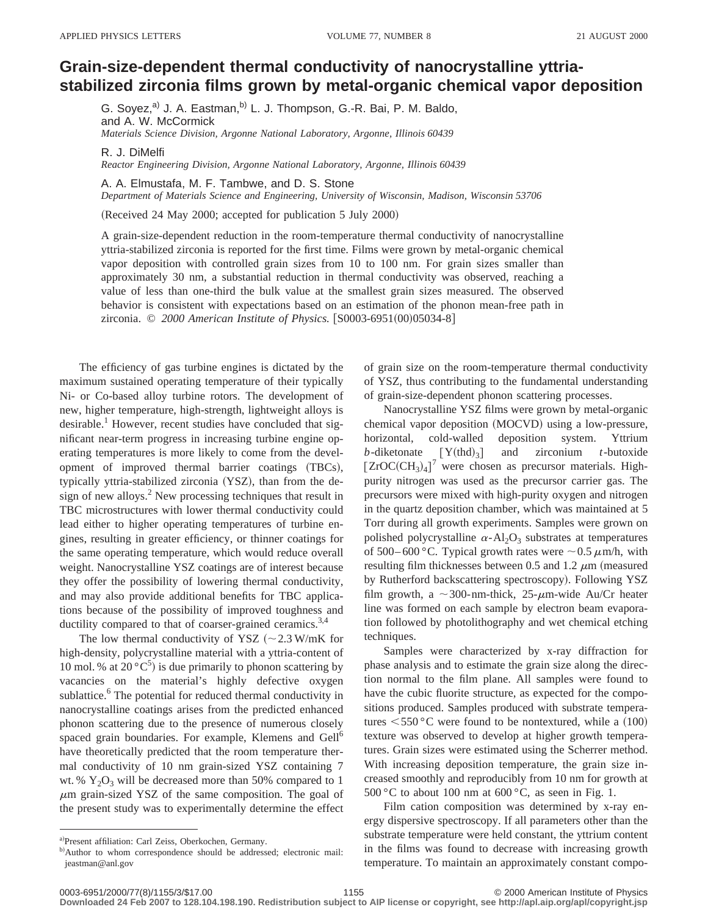## **Grain-size-dependent thermal conductivity of nanocrystalline yttriastabilized zirconia films grown by metal-organic chemical vapor deposition**

G. Soyez,<sup>a)</sup> J. A. Eastman,<sup>b)</sup> L. J. Thompson, G.-R. Bai, P. M. Baldo, and A. W. McCormick *Materials Science Division, Argonne National Laboratory, Argonne, Illinois 60439*

R. J. DiMelfi *Reactor Engineering Division, Argonne National Laboratory, Argonne, Illinois 60439*

A. A. Elmustafa, M. F. Tambwe, and D. S. Stone *Department of Materials Science and Engineering, University of Wisconsin, Madison, Wisconsin 53706*

(Received 24 May 2000; accepted for publication 5 July 2000)

A grain-size-dependent reduction in the room-temperature thermal conductivity of nanocrystalline yttria-stabilized zirconia is reported for the first time. Films were grown by metal-organic chemical vapor deposition with controlled grain sizes from 10 to 100 nm. For grain sizes smaller than approximately 30 nm, a substantial reduction in thermal conductivity was observed, reaching a value of less than one-third the bulk value at the smallest grain sizes measured. The observed behavior is consistent with expectations based on an estimation of the phonon mean-free path in zirconia. © 2000 American Institute of Physics. [S0003-6951(00)05034-8]

The efficiency of gas turbine engines is dictated by the maximum sustained operating temperature of their typically Ni- or Co-based alloy turbine rotors. The development of new, higher temperature, high-strength, lightweight alloys is desirable.<sup>1</sup> However, recent studies have concluded that significant near-term progress in increasing turbine engine operating temperatures is more likely to come from the development of improved thermal barrier coatings (TBCs), typically yttria-stabilized zirconia (YSZ), than from the design of new alloys.<sup>2</sup> New processing techniques that result in TBC microstructures with lower thermal conductivity could lead either to higher operating temperatures of turbine engines, resulting in greater efficiency, or thinner coatings for the same operating temperature, which would reduce overall weight. Nanocrystalline YSZ coatings are of interest because they offer the possibility of lowering thermal conductivity, and may also provide additional benefits for TBC applications because of the possibility of improved toughness and ductility compared to that of coarser-grained ceramics.<sup>3,4</sup>

The low thermal conductivity of YSZ  $\left(\sim 2.3 \text{ W/mK} \right)$  for high-density, polycrystalline material with a yttria-content of 10 mol. % at 20 $\degree$ C<sup>5</sup>) is due primarily to phonon scattering by vacancies on the material's highly defective oxygen sublattice.<sup>6</sup> The potential for reduced thermal conductivity in nanocrystalline coatings arises from the predicted enhanced phonon scattering due to the presence of numerous closely spaced grain boundaries. For example, Klemens and Gell<sup>6</sup> have theoretically predicted that the room temperature thermal conductivity of 10 nm grain-sized YSZ containing 7 wt. %  $Y_2O_3$  will be decreased more than 50% compared to 1  $\mu$ m grain-sized YSZ of the same composition. The goal of the present study was to experimentally determine the effect of grain size on the room-temperature thermal conductivity of YSZ, thus contributing to the fundamental understanding of grain-size-dependent phonon scattering processes.

Nanocrystalline YSZ films were grown by metal-organic chemical vapor deposition (MOCVD) using a low-pressure, horizontal, cold-walled deposition system. Yttrium *b*-diketonate  $[Y(thd)_3]$  and zirconium *t*-butoxide  $[ZroC(CH<sub>3</sub>)<sub>4</sub>]<sup>7</sup>$  were chosen as precursor materials. Highpurity nitrogen was used as the precursor carrier gas. The precursors were mixed with high-purity oxygen and nitrogen in the quartz deposition chamber, which was maintained at 5 Torr during all growth experiments. Samples were grown on polished polycrystalline  $\alpha$ -Al<sub>2</sub>O<sub>3</sub> substrates at temperatures of 500–600 °C. Typical growth rates were  $\sim$  0.5  $\mu$ m/h, with resulting film thicknesses between 0.5 and 1.2  $\mu$ m (measured by Rutherford backscattering spectroscopy). Following YSZ film growth, a  $\sim$ 300-nm-thick, 25- $\mu$ m-wide Au/Cr heater line was formed on each sample by electron beam evaporation followed by photolithography and wet chemical etching techniques.

Samples were characterized by x-ray diffraction for phase analysis and to estimate the grain size along the direction normal to the film plane. All samples were found to have the cubic fluorite structure, as expected for the compositions produced. Samples produced with substrate temperatures  $<$  550 °C were found to be nontextured, while a (100) texture was observed to develop at higher growth temperatures. Grain sizes were estimated using the Scherrer method. With increasing deposition temperature, the grain size increased smoothly and reproducibly from 10 nm for growth at  $500\,^{\circ}$ C to about 100 nm at  $600\,^{\circ}$ C, as seen in Fig. 1.

Film cation composition was determined by x-ray energy dispersive spectroscopy. If all parameters other than the substrate temperature were held constant, the yttrium content in the films was found to decrease with increasing growth temperature. To maintain an approximately constant compo-

**Downloaded 24 Feb 2007 to 128.104.198.190. Redistribution subject to AIP license or copyright, see http://apl.aip.org/apl/copyright.jsp**

a)Present affiliation: Carl Zeiss, Oberkochen, Germany.

b)Author to whom correspondence should be addressed; electronic mail: jeastman@anl.gov

<sup>0003-6951/2000/77(8)/1155/3/\$17.00 1155 1155 1155 02000</sup> American Institute of Physics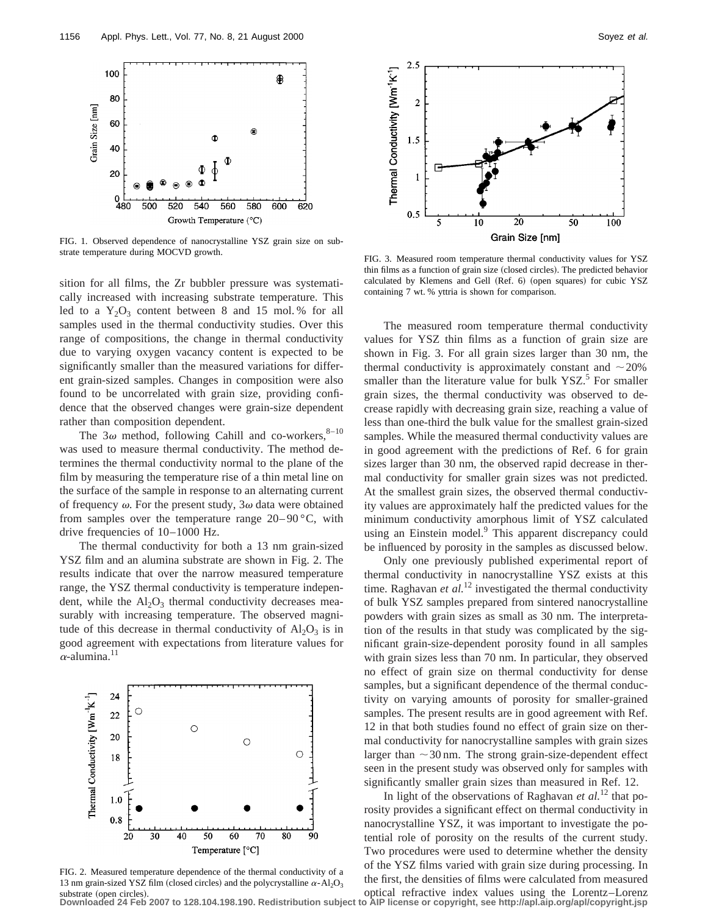

FIG. 1. Observed dependence of nanocrystalline YSZ grain size on substrate temperature during MOCVD growth.

sition for all films, the Zr bubbler pressure was systematically increased with increasing substrate temperature. This led to a  $Y_2O_3$  content between 8 and 15 mol. % for all samples used in the thermal conductivity studies. Over this range of compositions, the change in thermal conductivity due to varying oxygen vacancy content is expected to be significantly smaller than the measured variations for different grain-sized samples. Changes in composition were also found to be uncorrelated with grain size, providing confidence that the observed changes were grain-size dependent rather than composition dependent.

The  $3\omega$  method, following Cahill and co-workers,  $8-10$ was used to measure thermal conductivity. The method determines the thermal conductivity normal to the plane of the film by measuring the temperature rise of a thin metal line on the surface of the sample in response to an alternating current of frequency  $\omega$ . For the present study,  $3\omega$  data were obtained from samples over the temperature range  $20-90\degree C$ , with drive frequencies of 10–1000 Hz.

The thermal conductivity for both a 13 nm grain-sized YSZ film and an alumina substrate are shown in Fig. 2. The results indicate that over the narrow measured temperature range, the YSZ thermal conductivity is temperature independent, while the  $Al_2O_3$  thermal conductivity decreases measurably with increasing temperature. The observed magnitude of this decrease in thermal conductivity of  $Al_2O_3$  is in good agreement with expectations from literature values for  $\alpha$ -alumina.<sup>11</sup>



FIG. 2. Measured temperature dependence of the thermal conductivity of a 13 nm grain-sized YSZ film (closed circles) and the polycrystalline  $\alpha$ -Al<sub>2</sub>O<sub>3</sub> substrate (open circles).



FIG. 3. Measured room temperature thermal conductivity values for YSZ thin films as a function of grain size (closed circles). The predicted behavior calculated by Klemens and Gell (Ref. 6) (open squares) for cubic YSZ containing 7 wt. % yttria is shown for comparison.

The measured room temperature thermal conductivity values for YSZ thin films as a function of grain size are shown in Fig. 3. For all grain sizes larger than 30 nm, the thermal conductivity is approximately constant and  $\sim$ 20% smaller than the literature value for bulk  $YSZ^5$ . For smaller grain sizes, the thermal conductivity was observed to decrease rapidly with decreasing grain size, reaching a value of less than one-third the bulk value for the smallest grain-sized samples. While the measured thermal conductivity values are in good agreement with the predictions of Ref. 6 for grain sizes larger than 30 nm, the observed rapid decrease in thermal conductivity for smaller grain sizes was not predicted. At the smallest grain sizes, the observed thermal conductivity values are approximately half the predicted values for the minimum conductivity amorphous limit of YSZ calculated using an Einstein model.<sup>9</sup> This apparent discrepancy could be influenced by porosity in the samples as discussed below.

Only one previously published experimental report of thermal conductivity in nanocrystalline YSZ exists at this time. Raghavan *et al.*<sup>12</sup> investigated the thermal conductivity of bulk YSZ samples prepared from sintered nanocrystalline powders with grain sizes as small as 30 nm. The interpretation of the results in that study was complicated by the significant grain-size-dependent porosity found in all samples with grain sizes less than 70 nm. In particular, they observed no effect of grain size on thermal conductivity for dense samples, but a significant dependence of the thermal conductivity on varying amounts of porosity for smaller-grained samples. The present results are in good agreement with Ref. 12 in that both studies found no effect of grain size on thermal conductivity for nanocrystalline samples with grain sizes larger than  $\sim$  30 nm. The strong grain-size-dependent effect seen in the present study was observed only for samples with significantly smaller grain sizes than measured in Ref. 12.

In light of the observations of Raghavan *et al.*<sup>12</sup> that porosity provides a significant effect on thermal conductivity in nanocrystalline YSZ, it was important to investigate the potential role of porosity on the results of the current study. Two procedures were used to determine whether the density of the YSZ films varied with grain size during processing. In the first, the densities of films were calculated from measured optical refractive index values using the Lorentz–Lorenz

**Downloaded 24 Feb 2007 to 128.104.198.190. Redistribution subject to AIP license or copyright, see http://apl.aip.org/apl/copyright.jsp**